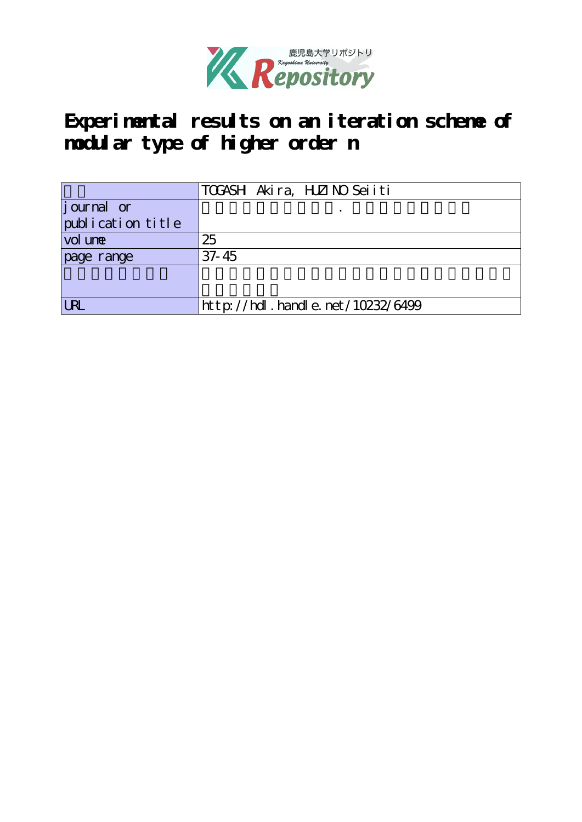

**Experimental results on an iteration scheme of modular type of higher order n**

|                   | TOGASH Akira, HZINO Seiiti       |
|-------------------|----------------------------------|
| journal or        |                                  |
| publication title |                                  |
| vol une           | 25                               |
| page range        | $37 - 45$                        |
|                   |                                  |
|                   |                                  |
| <b>URI</b>        | http://hdl.handle.net/10232/6499 |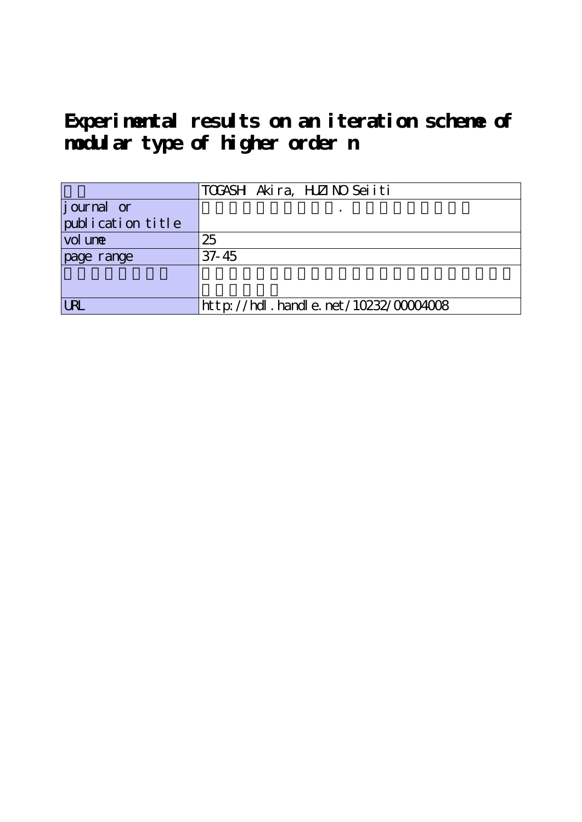**Experimental results on an iteration scheme of modular type of higher order n**

|                     | TOGASH Akira, HZINO Seiiti               |
|---------------------|------------------------------------------|
| journal or          |                                          |
| [publication title] |                                          |
| vol une             | 25                                       |
| page range          | $37 - 45$                                |
|                     |                                          |
|                     |                                          |
| <b>LRL</b>          | $http://hdl. handle. net/10232/00004008$ |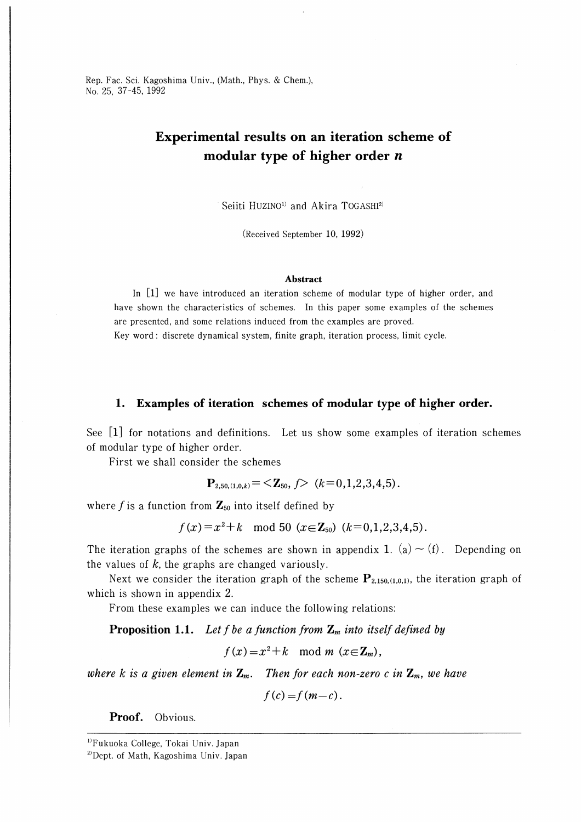# Experimental results on an iteration scheme of modular type of higher order  $n$

Seiiti HUZINO<sup>1)</sup> and Akira TOGASHI<sup>2)</sup>

(Received September 10, 1992)

#### Abstract

In [l] we have introduced an iteration scheme of modular type of higher order, and have shown the characteristics of schemes. In this paper some examples of the schemes are presented, and some relations induced from the examples are proved.

Key word : discrete dynamical system, finite graph, iteration process, limit cycle.

#### 1. Examples of iteration schemes of modular type of higher order.

See [1] for notations and definitions. Let us show some examples of iteration schemes of modular type of higher order.

First we shall consider the schemes

$$
\mathbf{P}_{2,50,(1,0,k)} = \langle \mathbf{Z}_{50}, f \rangle \quad (k=0,1,2,3,4,5).
$$

where f is a function from  $\mathbf{Z}_{50}$  into itself defined by

$$
f(x)=x^2+k \mod 50 \ (x\in \mathbb{Z}_{50}) \ (k=0,1,2,3,4,5).
$$

The iteration graphs of the schemes are shown in appendix 1. (a)  $\sim$  (f). Depending on the values of  $k$ , the graphs are changed variously.

Next we consider the iteration graph of the scheme  $P_{2,150,(1,0,1)}$ , the iteration graph of which is shown in appendix 2.

From these examples we can induce the following relations:

**Proposition 1.1.** Let f be a function from  $\mathbf{Z}_m$  into itself defined by

 $f(x)=x^2+k \mod m \ (x\in\mathbb{Z}_m),$ 

where k is a given element in  $\mathbb{Z}_m$ . Then for each non-zero c in  $\mathbb{Z}_m$ , we have

 $f(c) = f(m-c)$ .

Proof. Obvious.

<sup>1}</sup>Fukuoka College, Tokai Univ. Japan

 $^{2)}$ Dept. of Math, Kagoshima Univ. Japan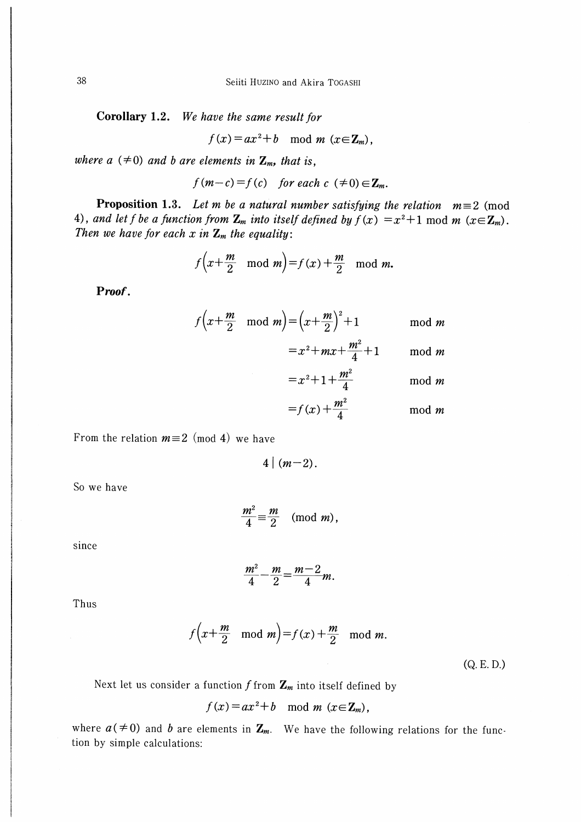Corollary 1.2. We have the same result for

$$
f(x) = ax^2 + b \mod m \ (x \in \mathbb{Z}_m),
$$

where  $a \neq 0$  and b are elements in  $\mathbf{Z}_m$ , that is,

 $f(m-c) = f(c)$  for each  $c \neq 0$ )  $\in \mathbb{Z}_m$ .

**Proposition 1.3.** Let m be a natural number satisfying the relation  $m \equiv 2 \pmod{3}$ 4), and let f be a function from  $\mathbf{Z}_m$  into itself defined by  $f(x) = x^2 + 1 \text{ mod } m$  ( $x \in \mathbf{Z}_m$ ). Then we have for each x in  $\mathbb{Z}_m$  the equality:

$$
f\left(x+\frac{m}{2} \mod m\right) = f(x) + \frac{m}{2} \mod m.
$$

Proof.

$$
f\left(x+\frac{m}{2} \mod m\right) = \left(x+\frac{m}{2}\right)^2 + 1 \mod m
$$
  
=  $x^2 + mx + \frac{m^2}{2} + 1 \mod m$ 

$$
=f(x)+\frac{m^2}{4}
$$
 mod m

From the relation  $m \equiv 2 \pmod{4}$  we have

$$
4 \mid (m-2)
$$

So we have

$$
\frac{m^2}{4} \equiv \frac{m}{2} \pmod{m},
$$

since

$$
\frac{m^2}{4} - \frac{m}{2} = \frac{m-2}{4}m
$$

Thus

$$
f\left(x+\frac{m}{2} \mod m\right) = f(x) + \frac{m}{2} \mod m.
$$

 $(Q.E.D.)$ 

Next let us consider a function  $f$  from  $\mathbb{Z}_m$  into itself defined by

$$
f(x) = ax^2 + b \mod m \ (x \in \mathbb{Z}_m),
$$

where  $a \neq 0$  and b are elements in  $\mathbb{Z}_m$ . We have the following relations for the function by simple calculations: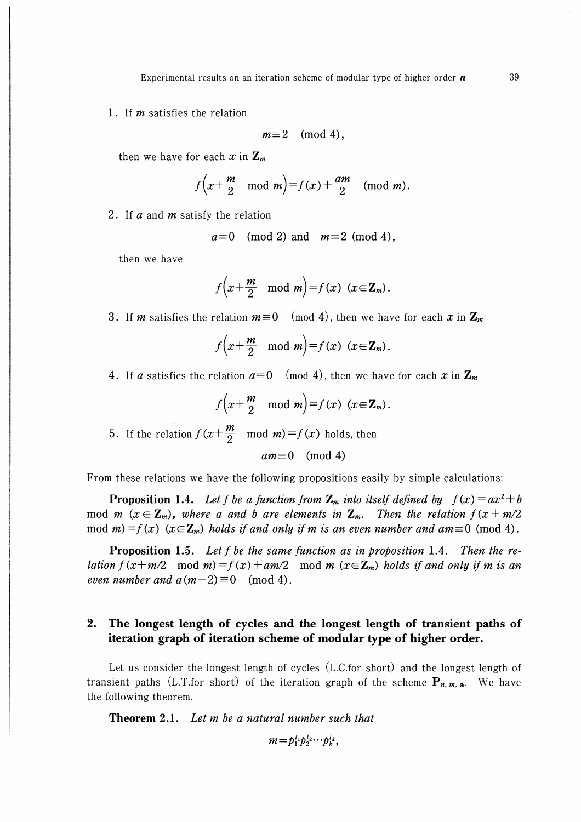1. If *m* satisfies the relation

$$
m\equiv 2\pmod 4,
$$

then we have for each x in  $\mathbf{Z}_m$ 

$$
f\left(x+\frac{m}{2} \mod m\right) = f(x) + \frac{am}{2} \pmod{m}.
$$

2. If  $\alpha$  and  $m$  satisfy the relation

$$
a \equiv 0 \pmod{2}
$$
 and  $m \equiv 2 \pmod{4}$ ,

then we have

$$
f\left(x+\frac{m}{2} \mod m\right)=f(x) \quad (x\in\mathbb{Z}_m).
$$

3. If m satisfies the relation  $m \equiv 0 \pmod{4}$ , then we have for each x in  $\mathbb{Z}_m$ 

$$
f\left(x+\frac{m}{2} \mod m\right) = f(x) \quad (x \in \mathbb{Z}_m).
$$

4. If a satisfies the relation  $a\equiv 0 \pmod{4}$ , then we have for each x in  $\mathbb{Z}_m$ 

$$
f\left(x + \frac{m}{2} \mod m\right) = f(x) \quad (x \in \mathbf{Z}_m).
$$
  
5. If the relation  $f\left(x + \frac{m}{2} \mod m\right) = f(x)$  holds, then  

$$
am \equiv 0 \pmod{4}
$$

From these relations we have the following propositions easily by simple calculations:

**Proposition 1.4.** Let f be a function from  $\mathbb{Z}_m$  into itself defined by  $f(x) = ax^2 + b$ mod m ( $x \in \mathbb{Z}_m$ ), where a and b are elements in  $\mathbb{Z}_m$ . Then the relation  $f(x+m/2)$ mod m)=f(x) (x∈**Z**<sub>m</sub>) holds if and only if m is an even number and am=0 (mod 4).

**Proposition 1.5.** Let f be the same function as in proposition 1.4. Then the relation  $f(x+m/2 \mod m)=f(x)+am/2 \mod m$   $(x\in\mathbb{Z}_m)$  holds if and only if m is an even number and  $a(m-2)\equiv 0 \pmod{4}$ .

### 2. The longest length of cycles and the longest length of transient paths of iteration graph of iteration scheme of modular type of higher order.

Let us consider the longest length of cycles (L.C.for short) and the longest length of transient paths (L.T.for short) of the iteration graph of the scheme  $P_{n,m,a}$ . We have the following theorem.

**Theorem 2.1.** Let  $m$  be a natural number such that

$$
m=p_1^{l_1}p_2^{l_2}\cdots p_k^{l_k},
$$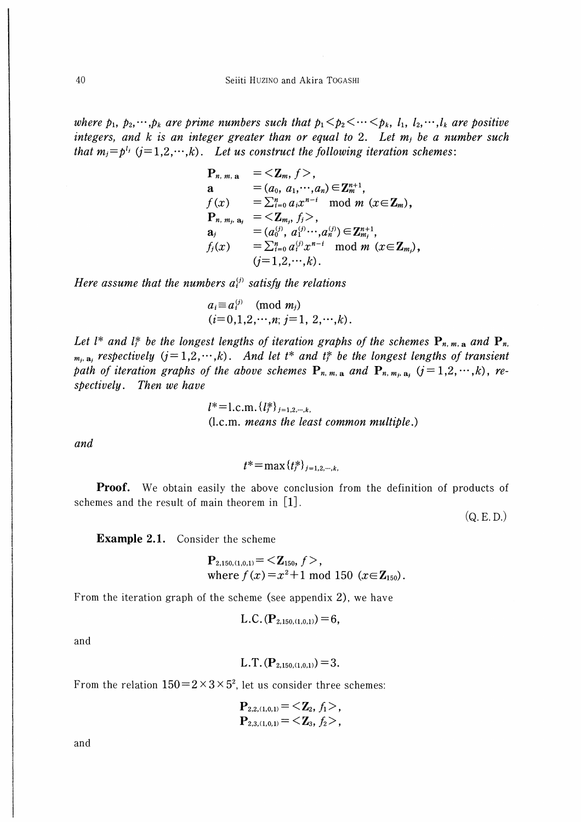where  $p_1, p_2, \dots, p_k$  are prime numbers such that  $p_1 < p_2 < \dots < p_k$ ,  $l_1, l_2, \dots, l_k$  are positive integers, and  $k$  is an integer greater than or equal to 2. Let  $m_j$  be a number such that  $m_i = p^{l_i}$  ( $i = 1, 2, \dots, k$ ). Let us construct the following iteration schemes:

$$
P_{n, m, a} = \langle Z_m, f \rangle,
$$
  
\n
$$
a = (a_0, a_1, \cdots, a_n) \in Z_m^{n+1},
$$
  
\n
$$
f(x) = \sum_{i=0}^n a_i x^{n-i} \mod m \ (x \in Z_m),
$$
  
\n
$$
P_{n, m_j, a_j} = \langle Z_{m_j}, f_j \rangle,
$$
  
\n
$$
a_j = (a_0^{(j)}, a_1^{(j)} \cdots, a_n^{(j)}) \in Z_{m_j}^{n+1},
$$
  
\n
$$
f_j(x) = \sum_{i=0}^n a_i^{(j)} x^{n-i} \mod m \ (x \in Z_{m_j}),
$$
  
\n
$$
(j=1,2,\cdots,k).
$$

Here assume that the numbers  $a_i^{(j)}$  satisfy the relations

$$
a_i \equiv a_i^{(j)}
$$
 (mod  $m_j$ )  
( $i=0,1,2,\dots,n; j=1, 2,\dots,k$ ).

Let  $l^*$  and  $l^*_j$  be the longest lengths of iteration graphs of the schemes  $P_{n,m,n}$  and  $P_{n,n}$  $_{m_i, a_j}$  respectively  $(j=1,2,\dots,k)$ . And let  $t^*$  and  $t_j^*$  be the longest lengths of transient path of iteration graphs of the above schemes  $P_{n, m, a}$  and  $P_{n, m, a}$   $(j = 1, 2, \dots, k)$ , respectively. Then we have

> $l^*$ =1.c.m.  $\{l_i^*\}_{i=1,2,\dots,k}$ . (l.c.m. means the least common multiple.)

and

$$
t^* = \max\{t_i^*\}_{i=1,2,\dots,k}
$$

**Proof.** We obtain easily the above conclusion from the definition of products of schemes and the result of main theorem in  $[1]$ .

 $(Q, E, D)$ 

**Example 2.1.** Consider the scheme

$$
\mathbf{P}_{2,150,(1,0,1)} = \langle \mathbf{Z}_{150}, f \rangle,
$$
  
where  $f(x) = x^2 + 1 \text{ mod } 150 \ (x \in \mathbf{Z}_{150}).$ 

From the iteration graph of the scheme (see appendix 2), we have

L.C. 
$$
(\mathbf{P}_{2,150,(1,0,1)})=6
$$
,

and

$$
L.T. (P_{2,150,(1,0,1)})=3.
$$

From the relation  $150 = 2 \times 3 \times 5^2$ , let us consider three schemes:

$$
\mathbf{P}_{2,2,(1,0,1)} = \langle \mathbf{Z}_2, f_1 \rangle, \mathbf{P}_{2,3,(1,0,1)} = \langle \mathbf{Z}_3, f_2 \rangle,
$$

and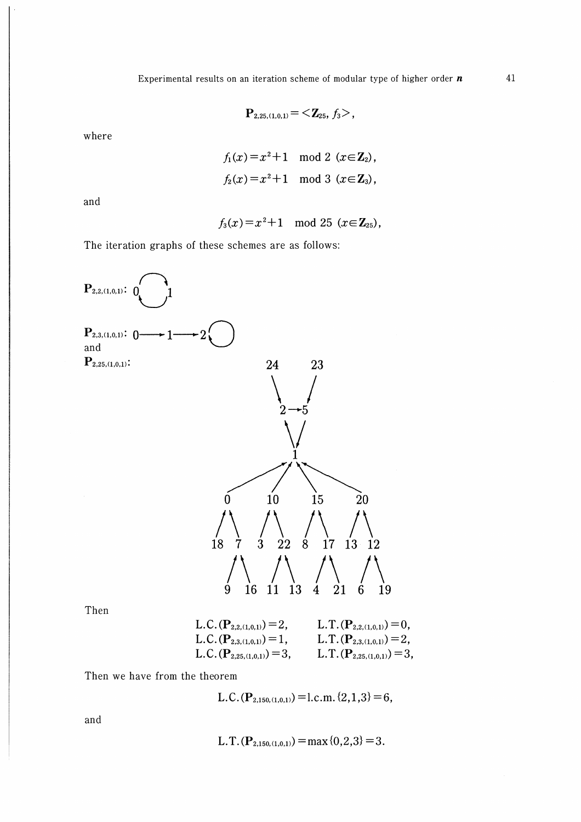$$
\mathbf{P}_{2,25,(1,0,1)} = \langle \mathbf{Z}_{25}, f_3 \rangle,
$$

where

$$
f_1(x) = x^2 + 1 \mod 2 \ (x \in \mathbb{Z}_2),
$$
  
 $f_2(x) = x^2 + 1 \mod 3 \ (x \in \mathbb{Z}_3),$ 

and

 $f_3(x) = x^2 + 1 \mod 25 \ (x \in \mathbb{Z}_{25}),$ 

The iteration graphs of these schemes are as follows:



Then

L.C. 
$$
(P_{2,2,(1,0,1)}) = 2
$$
, L.T.  $(P_{2,2,(1,0,1)}) = 0$ ,  
\nL.C.  $(P_{2,3,(1,0,1)}) = 1$ , L.T.  $(P_{2,3,(1,0,1)}) = 2$ ,  
\nL.C.  $(P_{2,25,(1,0,1)}) = 3$ , L.T.  $(P_{2,25,(1,0,1)}) = 3$ ,

Then we have from the theorem

L.C.(
$$
\mathbf{P}_{2,150,(1,0,1)}
$$
) = l.c.m. {2,1,3} = 6,

and

L.T.(
$$
\mathbf{P}_{2,150,(1,0,1)}
$$
) = max {0,2,3} = 3.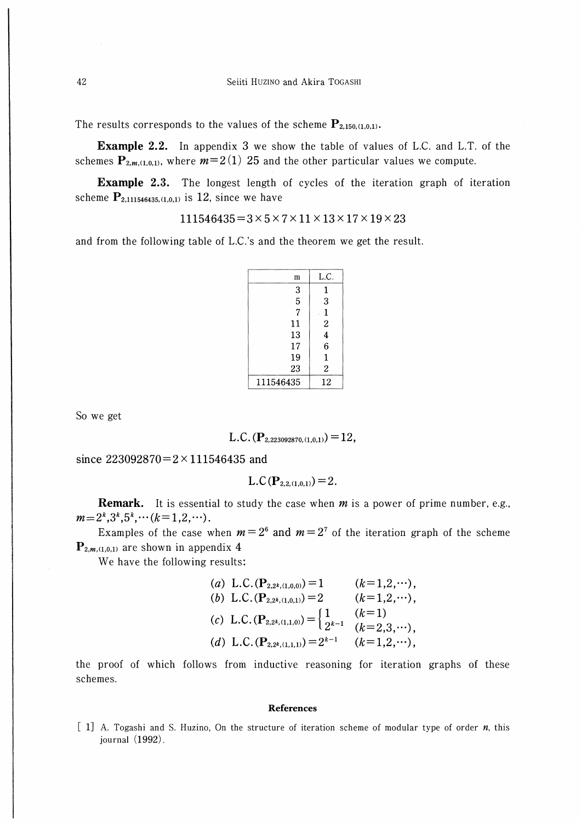The results corresponds to the values of the scheme  $P_{2,150,(1,0,1)}$ .

Example 2.2. In appendix 3 we show the table of values of L.C. and L.T. of the schemes  $P_{2,m,(1,0,1)}$ , where  $m=2(1)$  25 and the other particular values we compute.

Example 2.3. The longest length of cycles of the iteration graph of iteration scheme  $P_{2,111546435,(1,0,1)}$  is 12, since we have

 $111546435 = 3 \times 5 \times 7 \times 11 \times 13 \times 17 \times 19 \times 23$ 

and from the following table of L.C.'s and the theorem we get the result.

| m         | L.C.                    |
|-----------|-------------------------|
| 3         | 1                       |
| 5         | 3                       |
| 7         | 1                       |
| 11        | $\overline{c}$          |
| 13        | $\overline{\mathbf{4}}$ |
| 17        | 6                       |
| 19        | 1                       |
| 23        | $\overline{2}$          |
| 111546435 | 12                      |

Soweget

L.C. 
$$
(\mathbf{P}_{2,223092870,(1,0,1)})=12,
$$

since  $223092870=2 \times 111546435$  and

$$
L.C(P_{2,2,(1,0,1)})=2.
$$

**Remark.** It is essential to study the case when  $m$  is a power of prime number, e.g.,  $m=2^k,3^k,5^k,\cdots (k=1,2,\cdots).$ 

Examples of the case when  $m=2^6$  and  $m=2^7$  of the iteration graph of the scheme  $P_{2,m,(1,0,1)}$  are shown in appendix 4

We have the following results:

(a) L.C.(P<sub>2,2<sup>k</sup>,(1,0,0)</sub>) = 1 
$$
(k=1,2,\cdots)
$$
,  
\n(b) L.C.(P<sub>2,2<sup>k</sup>,(1,0,1)</sub>) = 2  $(k=1,2,\cdots)$ ,  
\n(c) L.C.(P<sub>2,2<sup>k</sup>,(1,1,0)</sub>) =  $\begin{cases} 1 & (k=1) \\ 2^{k-1} & (k=2,3,\cdots) \end{cases}$ ,  
\n(d) L.C.(P<sub>2,2<sup>k</sup>,(1,1,1)</sub>) = 2<sup>k-1</sup>  $(k=1,2,\cdots)$ ,

the proof of which follows from inductive reasoning for iteration graphs of these schemes.

#### References

 $[1]$  A. Togashi and S. Huzino, On the structure of iteration scheme of modular type of order  $n$ , this journal (1992).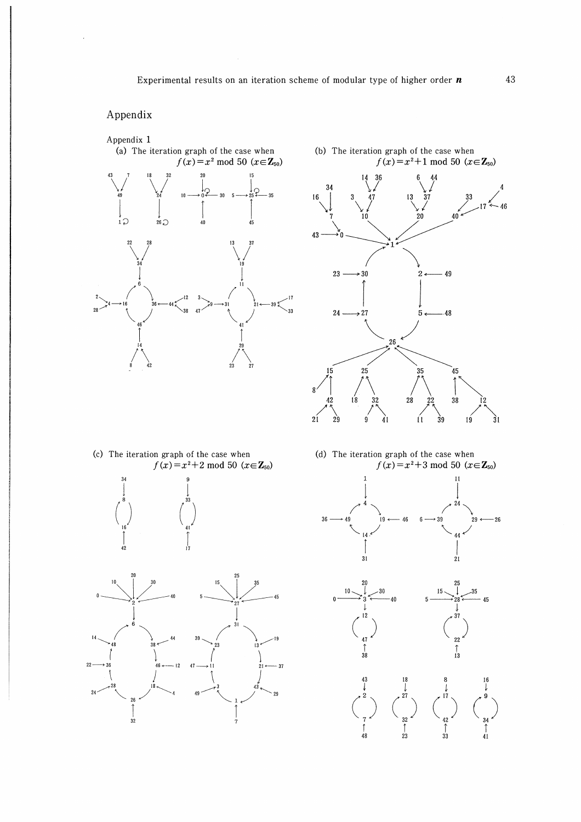## Appendix

 $\frac{1}{2}$ 





(c) The iteration graph of the case when  $f(x) = x^2 + 2 \mod 50 \ (x \in \mathbb{Z}_{50})$ 





 $45$ 

(d) The iteration graph of the case when  $f(x) = x^2 + 3 \mod 50 \ (x \in \mathbb{Z}_{50})$ 





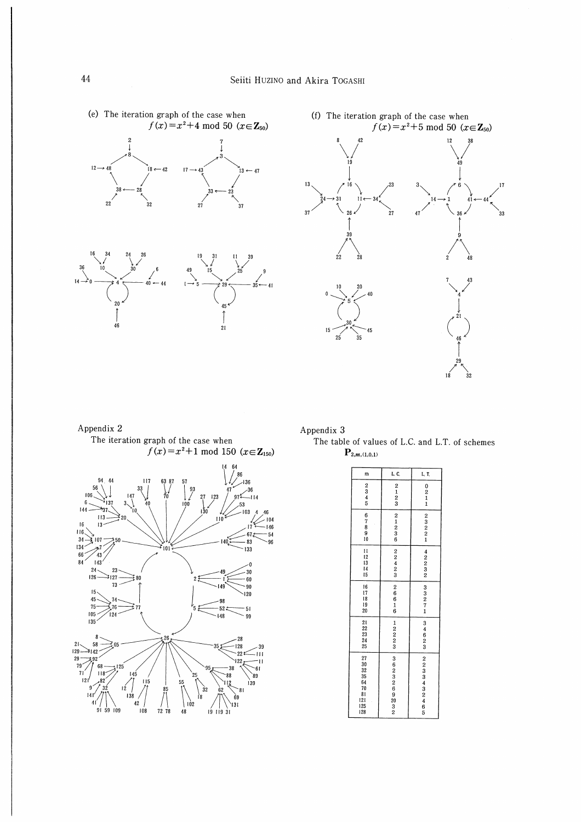$35$  $-41$ 

 $45$  $\int\limits_{21}^{1}$ 





### Appendix 2

 $20$ 

 $46$ 

The iteration graph of the case when  $f(x)=x^2+1$  mod 150 ( $x \in \mathbb{Z}_{150}$ )

 $-44$ 



Appendix 3

The table of values of L.C. and L.T. of schemes  $\mathbf{P}_{2,m,(1,0,1)}$ 

| m                                                                                          | L. C.                                                                            | L. T.                |
|--------------------------------------------------------------------------------------------|----------------------------------------------------------------------------------|----------------------|
| $\begin{array}{c}\n2 \\ 3 \\ 4 \\ 5\n\end{array}$                                          | $\begin{smallmatrix}2\1\2\3\end{smallmatrix}$                                    | 0211                 |
| 67890                                                                                      | $\begin{smallmatrix}2&&1\2&3&3\6&2&3\end{smallmatrix}$                           | 2321                 |
| $\mathbf{11}$<br>12<br>13<br>14<br>15                                                      | 2242                                                                             | $422$<br>$23$<br>$2$ |
| 16<br>17<br>18<br>19<br>20                                                                 | $266$<br>$616$                                                                   | 33271                |
| 21<br>22<br>23<br>24<br>25                                                                 | $1222$<br>$23$                                                                   | 34623                |
| 27<br>30<br>32<br>35<br>64<br>70<br>$\begin{array}{c} 81 \\ 121 \\ 125 \\ 128 \end{array}$ | $\begin{array}{c} 3 \\ 6 \\ 2 \\ 3 \\ 2 \\ 6 \\ 9 \\ 2 \\ 3 \\ 2 \\ \end{array}$ | 2233432465           |

 $14$